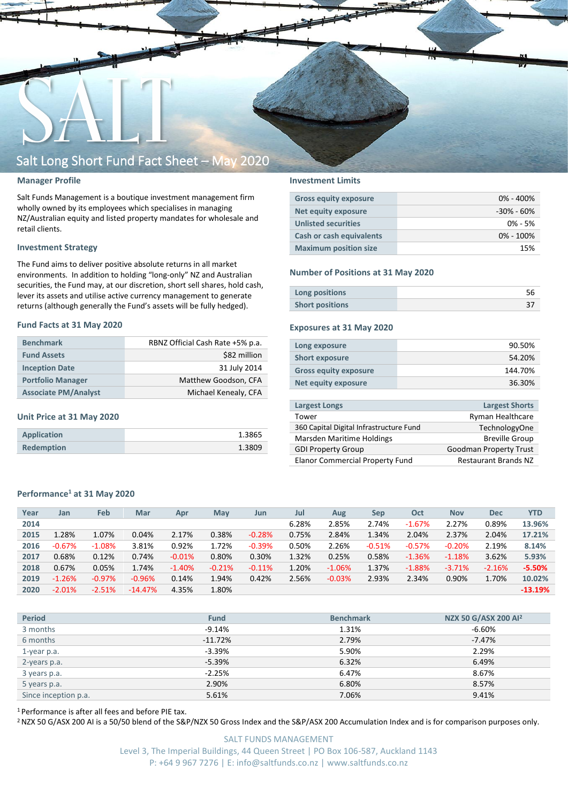

#### **Manager Profile**

Salt Funds Management is a boutique investment management firm wholly owned by its employees which specialises in managing NZ/Australian equity and listed property mandates for wholesale and retail clients.

#### **Investment Strategy**

The Fund aims to deliver positive absolute returns in all market environments. In addition to holding "long-only" NZ and Australian securities, the Fund may, at our discretion, short sell shares, hold cash, lever its assets and utilise active currency management to generate returns (although generally the Fund's assets will be fully hedged).

#### **Fund Facts at 31 May 2020**

| <b>Benchmark</b>            | RBNZ Official Cash Rate +5% p.a. |
|-----------------------------|----------------------------------|
| <b>Fund Assets</b>          | \$82 million                     |
| <b>Inception Date</b>       | 31 July 2014                     |
| <b>Portfolio Manager</b>    | Matthew Goodson, CFA             |
| <b>Associate PM/Analyst</b> | Michael Kenealy, CFA             |

#### **Unit Price at 31 May 2020**

| Application       | 1.3865 |
|-------------------|--------|
| <b>Redemption</b> | 1.3809 |

#### **Investment Limits**

| <b>Gross equity exposure</b> | $0\% - 400\%$  |
|------------------------------|----------------|
| Net equity exposure          | $-30\% - 60\%$ |
| <b>Unlisted securities</b>   | $0\% - 5\%$    |
| Cash or cash equivalents     | $0\% - 100\%$  |
| <b>Maximum position size</b> | 15%            |

#### **Number of Positions at 31 May 2020**

| Long positions         |  |
|------------------------|--|
| <b>Short positions</b> |  |

#### **Exposures at 31 May 2020**

| Long exposure                | 90.50%  |
|------------------------------|---------|
| <b>Short exposure</b>        | 54.20%  |
| <b>Gross equity exposure</b> | 144.70% |
| <b>Net equity exposure</b>   | 36.30%  |

| <b>Largest Longs</b>                    | <b>Largest Shorts</b>         |
|-----------------------------------------|-------------------------------|
| Tower                                   | <b>Ryman Healthcare</b>       |
| 360 Capital Digital Infrastructure Fund | <b>TechnologyOne</b>          |
| Marsden Maritime Holdings               | <b>Breville Group</b>         |
| <b>GDI Property Group</b>               | <b>Goodman Property Trust</b> |
| <b>Elanor Commercial Property Fund</b>  | <b>Restaurant Brands NZ</b>   |

#### **Performance<sup>1</sup> at 31 May 2020**

| Year | Jan      | Feb       | Mar       | Apr      | May      | Jun      | Jul   | Aug      | <b>Sep</b> | Oct      | <b>Nov</b> | <b>Dec</b> | <b>YTD</b> |
|------|----------|-----------|-----------|----------|----------|----------|-------|----------|------------|----------|------------|------------|------------|
| 2014 |          |           |           |          |          |          | 6.28% | 2.85%    | 2.74%      | $-1.67%$ | 2.27%      | 0.89%      | 13.96%     |
| 2015 | 1.28%    | 1.07%     | 0.04%     | 2.17%    | 0.38%    | $-0.28%$ | 0.75% | 2.84%    | 1.34%      | 2.04%    | 2.37%      | 2.04%      | 17.21%     |
| 2016 | $-0.67%$ | $-1.08%$  | 3.81%     | 0.92%    | 1.72%    | $-0.39%$ | 0.50% | 2.26%    | $-0.51%$   | $-0.57%$ | $-0.20%$   | 2.19%      | 8.14%      |
| 2017 | 0.68%    | 0.12%     | 0.74%     | $-0.01%$ | 0.80%    | 0.30%    | 1.32% | 0.25%    | 0.58%      | $-1.36%$ | $-1.18%$   | 3.62%      | 5.93%      |
| 2018 | 0.67%    | 0.05%     | 1.74%     | $-1.40%$ | $-0.21%$ | $-0.11%$ | 1.20% | $-1.06%$ | 1.37%      | $-1.88%$ | $-3.71%$   | $-2.16%$   | $-5.50%$   |
| 2019 | $-1.26%$ | $-0.97\%$ | $-0.96%$  | 0.14%    | 1.94%    | 0.42%    | 2.56% | $-0.03%$ | 2.93%      | 2.34%    | 0.90%      | 1.70%      | 10.02%     |
| 2020 | $-2.01%$ | $-2.51%$  | $-14.47%$ | 4.35%    | 1.80%    |          |       |          |            |          |            |            | $-13.19%$  |

| <b>Period</b>        | <b>Fund</b> | <b>Benchmark</b> | NZX 50 G/ASX 200 Al <sup>2</sup> |
|----------------------|-------------|------------------|----------------------------------|
| 3 months             | $-9.14%$    | 1.31%            | -6.60%                           |
| 6 months             | $-11.72%$   | 2.79%            | $-7.47%$                         |
| 1-year p.a.          | $-3.39%$    | 5.90%            | 2.29%                            |
| 2-years p.a.         | $-5.39%$    | 6.32%            | 6.49%                            |
| 3 years p.a.         | $-2.25%$    | 6.47%            | 8.67%                            |
| 5 years p.a.         | 2.90%       | 6.80%            | 8.57%                            |
| Since inception p.a. | 5.61%       | 7.06%            | 9.41%                            |

<sup>1</sup> Performance is after all fees and before PIE tax.

<sup>2</sup> NZX 50 G/ASX 200 AI is a 50/50 blend of the S&P/NZX 50 Gross Index and the S&P/ASX 200 Accumulation Index and is for comparison purposes only.

SALT FUNDS MANAGEMENT Level 3, The Imperial Buildings, 44 Queen Street | PO Box 106-587, Auckland 1143 P: +64 9 967 7276 | E: info@saltfunds.co.nz | www.saltfunds.co.nz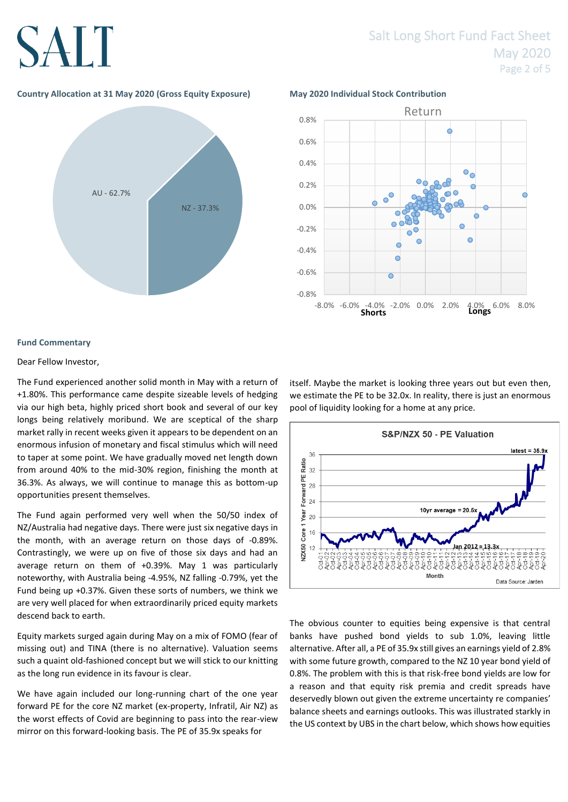### **Country Allocation at 31 May 2020 (Gross Equity Exposure) May 2020 Individual Stock Contribution**





#### **Fund Commentary**

#### Dear Fellow Investor,

The Fund experienced another solid month in May with a return of +1.80%. This performance came despite sizeable levels of hedging via our high beta, highly priced short book and several of our key longs being relatively moribund. We are sceptical of the sharp market rally in recent weeks given it appears to be dependent on an enormous infusion of monetary and fiscal stimulus which will need to taper at some point. We have gradually moved net length down from around 40% to the mid-30% region, finishing the month at 36.3%. As always, we will continue to manage this as bottom-up opportunities present themselves.

The Fund again performed very well when the 50/50 index of NZ/Australia had negative days. There were just six negative days in the month, with an average return on those days of -0.89%. Contrastingly, we were up on five of those six days and had an average return on them of +0.39%. May 1 was particularly noteworthy, with Australia being -4.95%, NZ falling -0.79%, yet the Fund being up +0.37%. Given these sorts of numbers, we think we are very well placed for when extraordinarily priced equity markets descend back to earth.

Equity markets surged again during May on a mix of FOMO (fear of missing out) and TINA (there is no alternative). Valuation seems such a quaint old-fashioned concept but we will stick to our knitting as the long run evidence in its favour is clear.

We have again included our long-running chart of the one year forward PE for the core NZ market (ex-property, Infratil, Air NZ) as the worst effects of Covid are beginning to pass into the rear-view mirror on this forward-looking basis. The PE of 35.9x speaks for

itself. Maybe the market is looking three years out but even then, we estimate the PE to be 32.0x. In reality, there is just an enormous pool of liquidity looking for a home at any price.



The obvious counter to equities being expensive is that central banks have pushed bond yields to sub 1.0%, leaving little alternative. After all, a PE of 35.9x still gives an earnings yield of 2.8% with some future growth, compared to the NZ 10 year bond yield of 0.8%. The problem with this is that risk-free bond yields are low for a reason and that equity risk premia and credit spreads have deservedly blown out given the extreme uncertainty re companies' balance sheets and earnings outlooks. This was illustrated starkly in the US context by UBS in the chart below, which shows how equities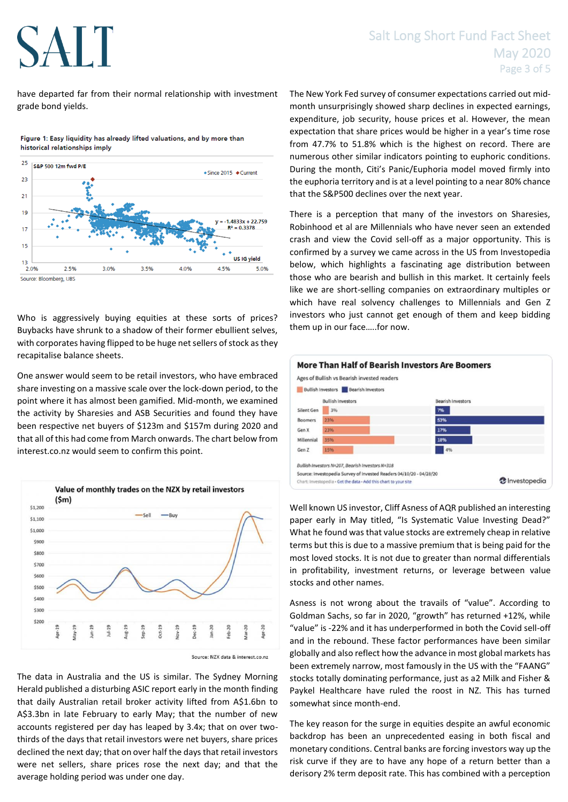have departed far from their normal relationship with investment grade bond yields.



Figure 1: Easy liquidity has already lifted valuations, and by more than historical relationships imply

Who is aggressively buying equities at these sorts of prices? Buybacks have shrunk to a shadow of their former ebullient selves, with corporates having flipped to be huge net sellers of stock as they recapitalise balance sheets.

One answer would seem to be retail investors, who have embraced share investing on a massive scale over the lock-down period, to the point where it has almost been gamified. Mid-month, we examined the activity by Sharesies and ASB Securities and found they have been respective net buyers of \$123m and \$157m during 2020 and that all of this had come from March onwards. The chart below from interest.co.nz would seem to confirm this point.



Source: NZX data & interest.co.nz

The data in Australia and the US is similar. The Sydney Morning Herald published a disturbing ASIC report early in the month finding that daily Australian retail broker activity lifted from A\$1.6bn to A\$3.3bn in late February to early May; that the number of new accounts registered per day has leaped by 3.4x; that on over twothirds of the days that retail investors were net buyers, share prices declined the next day; that on over half the days that retail investors were net sellers, share prices rose the next day; and that the average holding period was under one day.

The New York Fed survey of consumer expectations carried out midmonth unsurprisingly showed sharp declines in expected earnings, expenditure, job security, house prices et al. However, the mean expectation that share prices would be higher in a year's time rose from 47.7% to 51.8% which is the highest on record. There are numerous other similar indicators pointing to euphoric conditions. During the month, Citi's Panic/Euphoria model moved firmly into the euphoria territory and is at a level pointing to a near 80% chance that the S&P500 declines over the next year.

There is a perception that many of the investors on Sharesies, Robinhood et al are Millennials who have never seen an extended crash and view the Covid sell-off as a major opportunity. This is confirmed by a survey we came across in the US from Investopedia below, which highlights a fascinating age distribution between those who are bearish and bullish in this market. It certainly feels like we are short-selling companies on extraordinary multiples or which have real solvency challenges to Millennials and Gen Z investors who just cannot get enough of them and keep bidding them up in our face…..for now.



Well known US investor, Cliff Asness of AQR published an interesting paper early in May titled, "Is Systematic Value Investing Dead?" What he found was that value stocks are extremely cheap in relative terms but this is due to a massive premium that is being paid for the most loved stocks. It is not due to greater than normal differentials in profitability, investment returns, or leverage between value stocks and other names.

Asness is not wrong about the travails of "value". According to Goldman Sachs, so far in 2020, "growth" has returned +12%, while "value" is -22% and it has underperformed in both the Covid sell-off and in the rebound. These factor performances have been similar globally and also reflect how the advance in most global markets has been extremely narrow, most famously in the US with the "FAANG" stocks totally dominating performance, just as a2 Milk and Fisher & Paykel Healthcare have ruled the roost in NZ. This has turned somewhat since month-end.

The key reason for the surge in equities despite an awful economic backdrop has been an unprecedented easing in both fiscal and monetary conditions. Central banks are forcing investors way up the risk curve if they are to have any hope of a return better than a derisory 2% term deposit rate. This has combined with a perception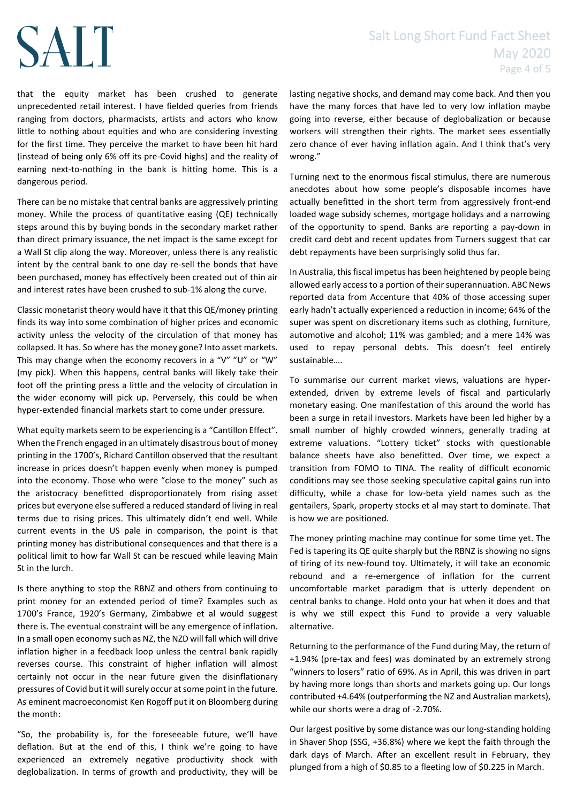### Salt Long Short Fund Fact Sheet May 2020 Page 4 of 5

that the equity market has been crushed to generate unprecedented retail interest. I have fielded queries from friends ranging from doctors, pharmacists, artists and actors who know little to nothing about equities and who are considering investing for the first time. They perceive the market to have been hit hard (instead of being only 6% off its pre-Covid highs) and the reality of earning next-to-nothing in the bank is hitting home. This is a dangerous period.

There can be no mistake that central banks are aggressively printing money. While the process of quantitative easing (QE) technically steps around this by buying bonds in the secondary market rather than direct primary issuance, the net impact is the same except for a Wall St clip along the way. Moreover, unless there is any realistic intent by the central bank to one day re-sell the bonds that have been purchased, money has effectively been created out of thin air and interest rates have been crushed to sub-1% along the curve.

Classic monetarist theory would have it that this QE/money printing finds its way into some combination of higher prices and economic activity unless the velocity of the circulation of that money has collapsed. It has. So where has the money gone? Into asset markets. This may change when the economy recovers in a "V" "U" or "W" (my pick). When this happens, central banks will likely take their foot off the printing press a little and the velocity of circulation in the wider economy will pick up. Perversely, this could be when hyper-extended financial markets start to come under pressure.

What equity markets seem to be experiencing is a "Cantillon Effect". When the French engaged in an ultimately disastrous bout of money printing in the 1700's, Richard Cantillon observed that the resultant increase in prices doesn't happen evenly when money is pumped into the economy. Those who were "close to the money" such as the aristocracy benefitted disproportionately from rising asset prices but everyone else suffered a reduced standard of living in real terms due to rising prices. This ultimately didn't end well. While current events in the US pale in comparison, the point is that printing money has distributional consequences and that there is a political limit to how far Wall St can be rescued while leaving Main St in the lurch.

Is there anything to stop the RBNZ and others from continuing to print money for an extended period of time? Examples such as 1700's France, 1920's Germany, Zimbabwe et al would suggest there is. The eventual constraint will be any emergence of inflation. In a small open economy such as NZ, the NZD will fall which will drive inflation higher in a feedback loop unless the central bank rapidly reverses course. This constraint of higher inflation will almost certainly not occur in the near future given the disinflationary pressures of Covid but it will surely occur at some point in the future. As eminent macroeconomist Ken Rogoff put it on Bloomberg during the month:

"So, the probability is, for the foreseeable future, we'll have deflation. But at the end of this, I think we're going to have experienced an extremely negative productivity shock with deglobalization. In terms of growth and productivity, they will be

lasting negative shocks, and demand may come back. And then you have the many forces that have led to very low inflation maybe going into reverse, either because of deglobalization or because workers will strengthen their rights. The market sees essentially zero chance of ever having inflation again. And I think that's very wrong."

Turning next to the enormous fiscal stimulus, there are numerous anecdotes about how some people's disposable incomes have actually benefitted in the short term from aggressively front-end loaded wage subsidy schemes, mortgage holidays and a narrowing of the opportunity to spend. Banks are reporting a pay-down in credit card debt and recent updates from Turners suggest that car debt repayments have been surprisingly solid thus far.

In Australia, this fiscal impetus has been heightened by people being allowed early access to a portion of their superannuation. ABC News reported data from Accenture that 40% of those accessing super early hadn't actually experienced a reduction in income; 64% of the super was spent on discretionary items such as clothing, furniture, automotive and alcohol; 11% was gambled; and a mere 14% was used to repay personal debts. This doesn't feel entirely sustainable….

To summarise our current market views, valuations are hyperextended, driven by extreme levels of fiscal and particularly monetary easing. One manifestation of this around the world has been a surge in retail investors. Markets have been led higher by a small number of highly crowded winners, generally trading at extreme valuations. "Lottery ticket" stocks with questionable balance sheets have also benefitted. Over time, we expect a transition from FOMO to TINA. The reality of difficult economic conditions may see those seeking speculative capital gains run into difficulty, while a chase for low-beta yield names such as the gentailers, Spark, property stocks et al may start to dominate. That is how we are positioned.

The money printing machine may continue for some time yet. The Fed is tapering its QE quite sharply but the RBNZ is showing no signs of tiring of its new-found toy. Ultimately, it will take an economic rebound and a re-emergence of inflation for the current uncomfortable market paradigm that is utterly dependent on central banks to change. Hold onto your hat when it does and that is why we still expect this Fund to provide a very valuable alternative.

Returning to the performance of the Fund during May, the return of +1.94% (pre-tax and fees) was dominated by an extremely strong "winners to losers" ratio of 69%. As in April, this was driven in part by having more longs than shorts and markets going up. Our longs contributed +4.64% (outperforming the NZ and Australian markets), while our shorts were a drag of -2.70%.

Our largest positive by some distance was our long-standing holding in Shaver Shop (SSG, +36.8%) where we kept the faith through the dark days of March. After an excellent result in February, they plunged from a high of \$0.85 to a fleeting low of \$0.225 in March.